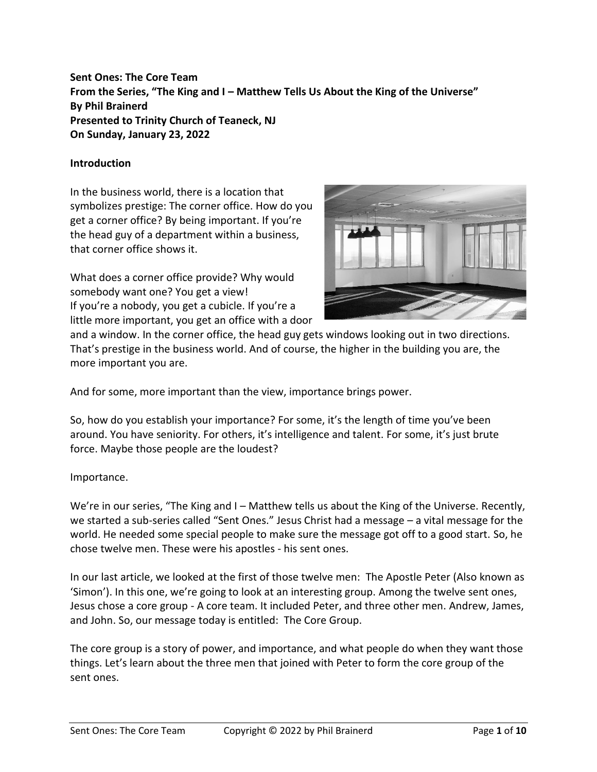**Sent Ones: The Core Team From the Series, "The King and I – Matthew Tells Us About the King of the Universe" By Phil Brainerd Presented to Trinity Church of Teaneck, NJ On Sunday, January 23, 2022**

### **Introduction**

In the business world, there is a location that symbolizes prestige: The corner office. How do you get a corner office? By being important. If you're the head guy of a department within a business, that corner office shows it.

What does a corner office provide? Why would somebody want one? You get a view! If you're a nobody, you get a cubicle. If you're a little more important, you get an office with a door



and a window. In the corner office, the head guy gets windows looking out in two directions. That's prestige in the business world. And of course, the higher in the building you are, the more important you are.

And for some, more important than the view, importance brings power.

So, how do you establish your importance? For some, it's the length of time you've been around. You have seniority. For others, it's intelligence and talent. For some, it's just brute force. Maybe those people are the loudest?

#### Importance.

We're in our series, "The King and I – Matthew tells us about the King of the Universe. Recently, we started a sub-series called "Sent Ones." Jesus Christ had a message – a vital message for the world. He needed some special people to make sure the message got off to a good start. So, he chose twelve men. These were his apostles - his sent ones.

In our last article, we looked at the first of those twelve men: The Apostle Peter (Also known as 'Simon'). In this one, we're going to look at an interesting group. Among the twelve sent ones, Jesus chose a core group - A core team. It included Peter, and three other men. Andrew, James, and John. So, our message today is entitled: The Core Group.

The core group is a story of power, and importance, and what people do when they want those things. Let's learn about the three men that joined with Peter to form the core group of the sent ones.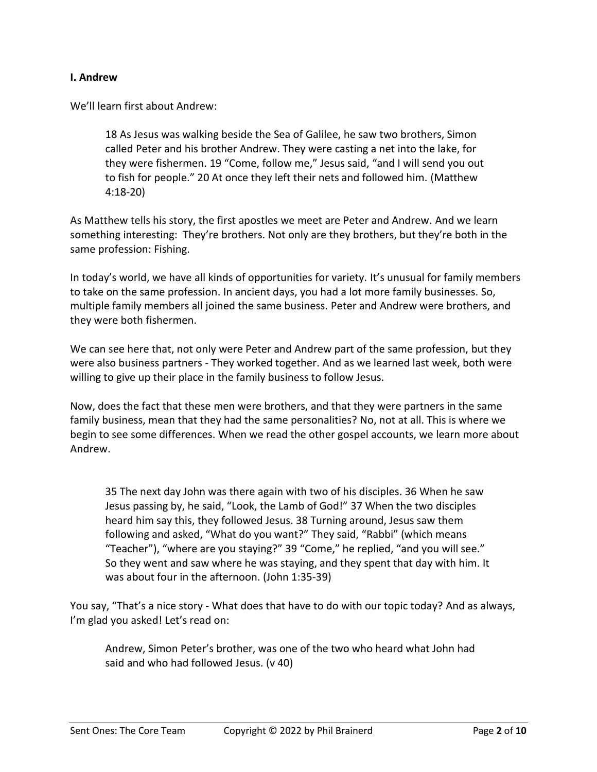#### **I. Andrew**

We'll learn first about Andrew:

18 As Jesus was walking beside the Sea of Galilee, he saw two brothers, Simon called Peter and his brother Andrew. They were casting a net into the lake, for they were fishermen. 19 "Come, follow me," Jesus said, "and I will send you out to fish for people." 20 At once they left their nets and followed him. (Matthew 4:18-20)

As Matthew tells his story, the first apostles we meet are Peter and Andrew. And we learn something interesting: They're brothers. Not only are they brothers, but they're both in the same profession: Fishing.

In today's world, we have all kinds of opportunities for variety. It's unusual for family members to take on the same profession. In ancient days, you had a lot more family businesses. So, multiple family members all joined the same business. Peter and Andrew were brothers, and they were both fishermen.

We can see here that, not only were Peter and Andrew part of the same profession, but they were also business partners - They worked together. And as we learned last week, both were willing to give up their place in the family business to follow Jesus.

Now, does the fact that these men were brothers, and that they were partners in the same family business, mean that they had the same personalities? No, not at all. This is where we begin to see some differences. When we read the other gospel accounts, we learn more about Andrew.

35 The next day John was there again with two of his disciples. 36 When he saw Jesus passing by, he said, "Look, the Lamb of God!" 37 When the two disciples heard him say this, they followed Jesus. 38 Turning around, Jesus saw them following and asked, "What do you want?" They said, "Rabbi" (which means "Teacher"), "where are you staying?" 39 "Come," he replied, "and you will see." So they went and saw where he was staying, and they spent that day with him. It was about four in the afternoon. (John 1:35-39)

You say, "That's a nice story - What does that have to do with our topic today? And as always, I'm glad you asked! Let's read on:

Andrew, Simon Peter's brother, was one of the two who heard what John had said and who had followed Jesus. (v 40)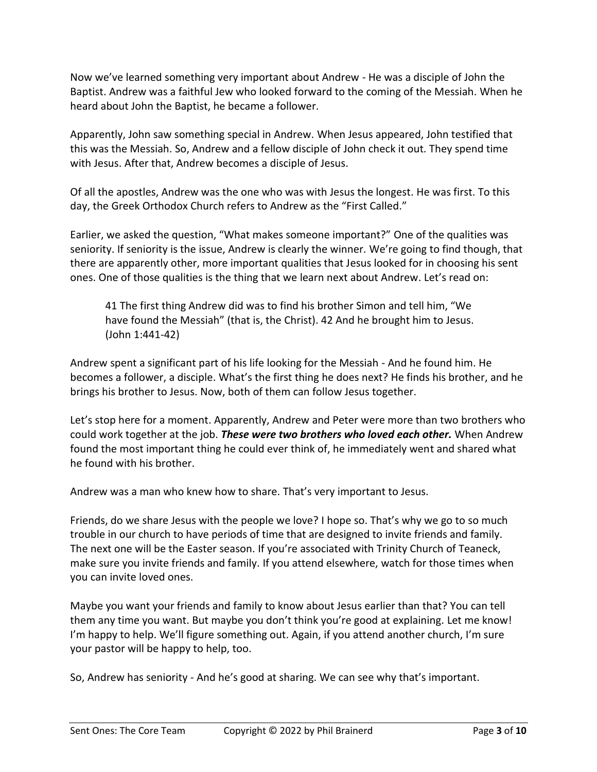Now we've learned something very important about Andrew - He was a disciple of John the Baptist. Andrew was a faithful Jew who looked forward to the coming of the Messiah. When he heard about John the Baptist, he became a follower.

Apparently, John saw something special in Andrew. When Jesus appeared, John testified that this was the Messiah. So, Andrew and a fellow disciple of John check it out. They spend time with Jesus. After that, Andrew becomes a disciple of Jesus.

Of all the apostles, Andrew was the one who was with Jesus the longest. He was first. To this day, the Greek Orthodox Church refers to Andrew as the "First Called."

Earlier, we asked the question, "What makes someone important?" One of the qualities was seniority. If seniority is the issue, Andrew is clearly the winner. We're going to find though, that there are apparently other, more important qualities that Jesus looked for in choosing his sent ones. One of those qualities is the thing that we learn next about Andrew. Let's read on:

41 The first thing Andrew did was to find his brother Simon and tell him, "We have found the Messiah" (that is, the Christ). 42 And he brought him to Jesus. (John 1:441-42)

Andrew spent a significant part of his life looking for the Messiah - And he found him. He becomes a follower, a disciple. What's the first thing he does next? He finds his brother, and he brings his brother to Jesus. Now, both of them can follow Jesus together.

Let's stop here for a moment. Apparently, Andrew and Peter were more than two brothers who could work together at the job. *These were two brothers who loved each other.* When Andrew found the most important thing he could ever think of, he immediately went and shared what he found with his brother.

Andrew was a man who knew how to share. That's very important to Jesus.

Friends, do we share Jesus with the people we love? I hope so. That's why we go to so much trouble in our church to have periods of time that are designed to invite friends and family. The next one will be the Easter season. If you're associated with Trinity Church of Teaneck, make sure you invite friends and family. If you attend elsewhere, watch for those times when you can invite loved ones.

Maybe you want your friends and family to know about Jesus earlier than that? You can tell them any time you want. But maybe you don't think you're good at explaining. Let me know! I'm happy to help. We'll figure something out. Again, if you attend another church, I'm sure your pastor will be happy to help, too.

So, Andrew has seniority - And he's good at sharing. We can see why that's important.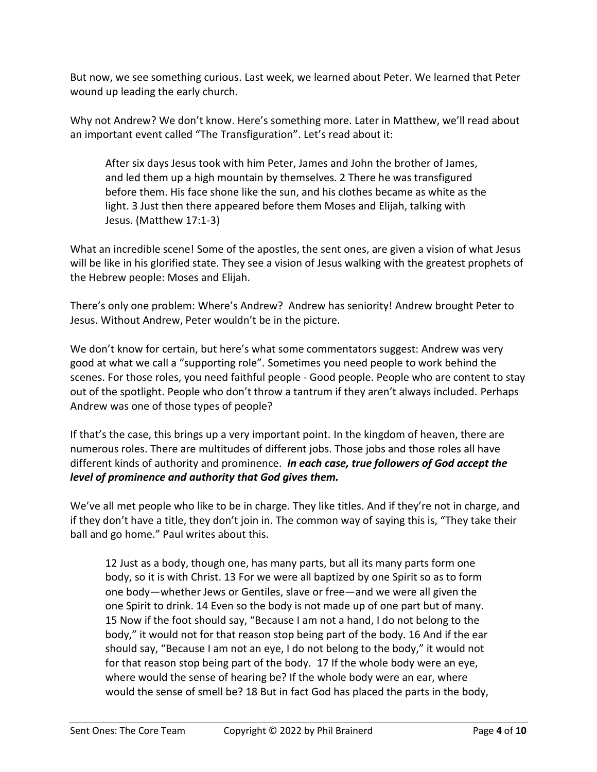But now, we see something curious. Last week, we learned about Peter. We learned that Peter wound up leading the early church.

Why not Andrew? We don't know. Here's something more. Later in Matthew, we'll read about an important event called "The Transfiguration". Let's read about it:

After six days Jesus took with him Peter, James and John the brother of James, and led them up a high mountain by themselves. 2 There he was transfigured before them. His face shone like the sun, and his clothes became as white as the light. 3 Just then there appeared before them Moses and Elijah, talking with Jesus. (Matthew 17:1-3)

What an incredible scene! Some of the apostles, the sent ones, are given a vision of what Jesus will be like in his glorified state. They see a vision of Jesus walking with the greatest prophets of the Hebrew people: Moses and Elijah.

There's only one problem: Where's Andrew? Andrew has seniority! Andrew brought Peter to Jesus. Without Andrew, Peter wouldn't be in the picture.

We don't know for certain, but here's what some commentators suggest: Andrew was very good at what we call a "supporting role". Sometimes you need people to work behind the scenes. For those roles, you need faithful people - Good people. People who are content to stay out of the spotlight. People who don't throw a tantrum if they aren't always included. Perhaps Andrew was one of those types of people?

If that's the case, this brings up a very important point. In the kingdom of heaven, there are numerous roles. There are multitudes of different jobs. Those jobs and those roles all have different kinds of authority and prominence. *In each case, true followers of God accept the level of prominence and authority that God gives them.*

We've all met people who like to be in charge. They like titles. And if they're not in charge, and if they don't have a title, they don't join in. The common way of saying this is, "They take their ball and go home." Paul writes about this.

12 Just as a body, though one, has many parts, but all its many parts form one body, so it is with Christ. 13 For we were all baptized by one Spirit so as to form one body—whether Jews or Gentiles, slave or free—and we were all given the one Spirit to drink. 14 Even so the body is not made up of one part but of many. 15 Now if the foot should say, "Because I am not a hand, I do not belong to the body," it would not for that reason stop being part of the body. 16 And if the ear should say, "Because I am not an eye, I do not belong to the body," it would not for that reason stop being part of the body. 17 If the whole body were an eye, where would the sense of hearing be? If the whole body were an ear, where would the sense of smell be? 18 But in fact God has placed the parts in the body,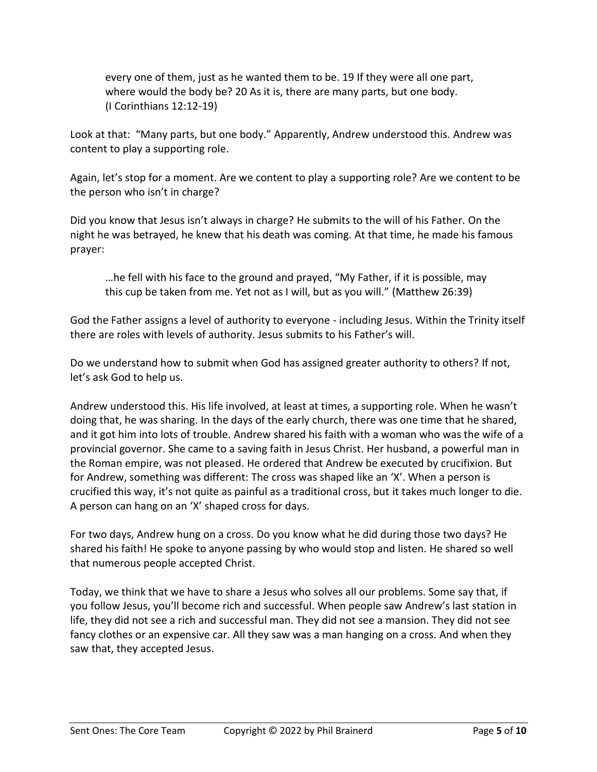every one of them, just as he wanted them to be. 19 If they were all one part, where would the body be? 20 As it is, there are many parts, but one body. (I Corinthians 12:12-19)

Look at that: "Many parts, but one body." Apparently, Andrew understood this. Andrew was content to play a supporting role.

Again, let's stop for a moment. Are we content to play a supporting role? Are we content to be the person who isn't in charge?

Did you know that Jesus isn't always in charge? He submits to the will of his Father. On the night he was betrayed, he knew that his death was coming. At that time, he made his famous prayer:

…he fell with his face to the ground and prayed, "My Father, if it is possible, may this cup be taken from me. Yet not as I will, but as you will." (Matthew 26:39)

God the Father assigns a level of authority to everyone - including Jesus. Within the Trinity itself there are roles with levels of authority. Jesus submits to his Father's will.

Do we understand how to submit when God has assigned greater authority to others? If not, let's ask God to help us.

Andrew understood this. His life involved, at least at times, a supporting role. When he wasn't doing that, he was sharing. In the days of the early church, there was one time that he shared, and it got him into lots of trouble. Andrew shared his faith with a woman who was the wife of a provincial governor. She came to a saving faith in Jesus Christ. Her husband, a powerful man in the Roman empire, was not pleased. He ordered that Andrew be executed by crucifixion. But for Andrew, something was different: The cross was shaped like an 'X'. When a person is crucified this way, it's not quite as painful as a traditional cross, but it takes much longer to die. A person can hang on an 'X' shaped cross for days.

For two days, Andrew hung on a cross. Do you know what he did during those two days? He shared his faith! He spoke to anyone passing by who would stop and listen. He shared so well that numerous people accepted Christ.

Today, we think that we have to share a Jesus who solves all our problems. Some say that, if you follow Jesus, you'll become rich and successful. When people saw Andrew's last station in life, they did not see a rich and successful man. They did not see a mansion. They did not see fancy clothes or an expensive car. All they saw was a man hanging on a cross. And when they saw that, they accepted Jesus.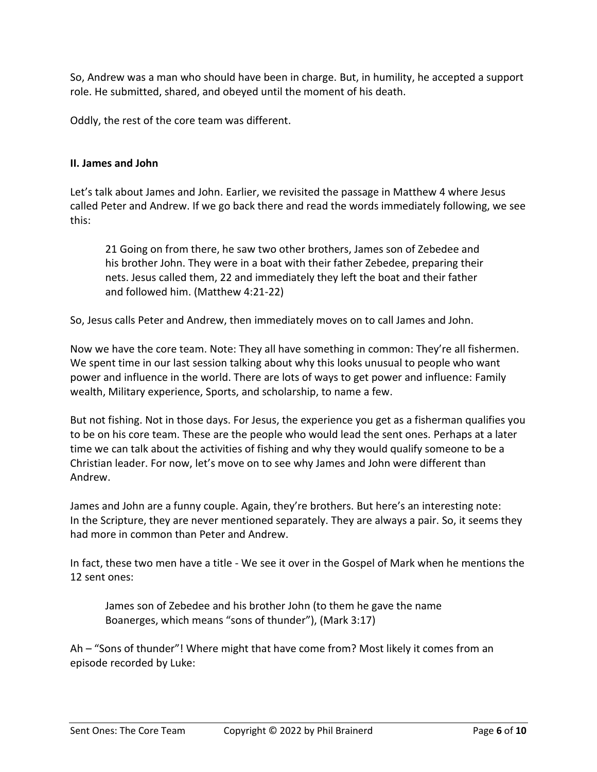So, Andrew was a man who should have been in charge. But, in humility, he accepted a support role. He submitted, shared, and obeyed until the moment of his death.

Oddly, the rest of the core team was different.

## **II. James and John**

Let's talk about James and John. Earlier, we revisited the passage in Matthew 4 where Jesus called Peter and Andrew. If we go back there and read the words immediately following, we see this:

21 Going on from there, he saw two other brothers, James son of Zebedee and his brother John. They were in a boat with their father Zebedee, preparing their nets. Jesus called them, 22 and immediately they left the boat and their father and followed him. (Matthew 4:21-22)

So, Jesus calls Peter and Andrew, then immediately moves on to call James and John.

Now we have the core team. Note: They all have something in common: They're all fishermen. We spent time in our last session talking about why this looks unusual to people who want power and influence in the world. There are lots of ways to get power and influence: Family wealth, Military experience, Sports, and scholarship, to name a few.

But not fishing. Not in those days. For Jesus, the experience you get as a fisherman qualifies you to be on his core team. These are the people who would lead the sent ones. Perhaps at a later time we can talk about the activities of fishing and why they would qualify someone to be a Christian leader. For now, let's move on to see why James and John were different than Andrew.

James and John are a funny couple. Again, they're brothers. But here's an interesting note: In the Scripture, they are never mentioned separately. They are always a pair. So, it seems they had more in common than Peter and Andrew.

In fact, these two men have a title - We see it over in the Gospel of Mark when he mentions the 12 sent ones:

James son of Zebedee and his brother John (to them he gave the name Boanerges, which means "sons of thunder"), (Mark 3:17)

Ah – "Sons of thunder"! Where might that have come from? Most likely it comes from an episode recorded by Luke: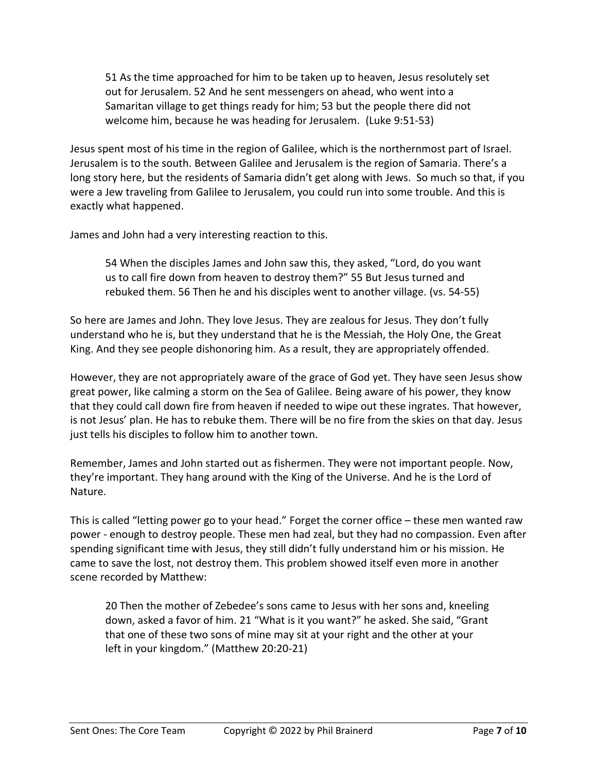51 As the time approached for him to be taken up to heaven, Jesus resolutely set out for Jerusalem. 52 And he sent messengers on ahead, who went into a Samaritan village to get things ready for him; 53 but the people there did not welcome him, because he was heading for Jerusalem. (Luke 9:51-53)

Jesus spent most of his time in the region of Galilee, which is the northernmost part of Israel. Jerusalem is to the south. Between Galilee and Jerusalem is the region of Samaria. There's a long story here, but the residents of Samaria didn't get along with Jews. So much so that, if you were a Jew traveling from Galilee to Jerusalem, you could run into some trouble. And this is exactly what happened.

James and John had a very interesting reaction to this.

54 When the disciples James and John saw this, they asked, "Lord, do you want us to call fire down from heaven to destroy them?" 55 But Jesus turned and rebuked them. 56 Then he and his disciples went to another village. (vs. 54-55)

So here are James and John. They love Jesus. They are zealous for Jesus. They don't fully understand who he is, but they understand that he is the Messiah, the Holy One, the Great King. And they see people dishonoring him. As a result, they are appropriately offended.

However, they are not appropriately aware of the grace of God yet. They have seen Jesus show great power, like calming a storm on the Sea of Galilee. Being aware of his power, they know that they could call down fire from heaven if needed to wipe out these ingrates. That however, is not Jesus' plan. He has to rebuke them. There will be no fire from the skies on that day. Jesus just tells his disciples to follow him to another town.

Remember, James and John started out as fishermen. They were not important people. Now, they're important. They hang around with the King of the Universe. And he is the Lord of Nature.

This is called "letting power go to your head." Forget the corner office – these men wanted raw power - enough to destroy people. These men had zeal, but they had no compassion. Even after spending significant time with Jesus, they still didn't fully understand him or his mission. He came to save the lost, not destroy them. This problem showed itself even more in another scene recorded by Matthew:

20 Then the mother of Zebedee's sons came to Jesus with her sons and, kneeling down, asked a favor of him. 21 "What is it you want?" he asked. She said, "Grant that one of these two sons of mine may sit at your right and the other at your left in your kingdom." (Matthew 20:20-21)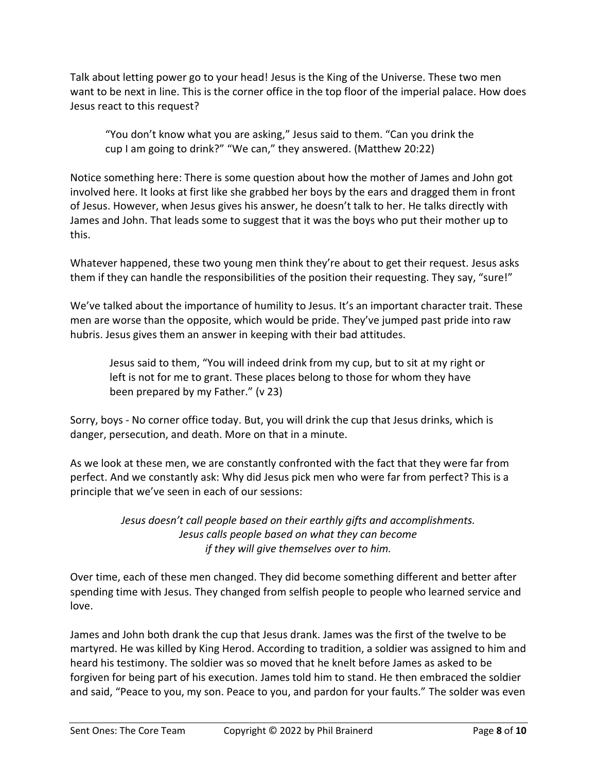Talk about letting power go to your head! Jesus is the King of the Universe. These two men want to be next in line. This is the corner office in the top floor of the imperial palace. How does Jesus react to this request?

"You don't know what you are asking," Jesus said to them. "Can you drink the cup I am going to drink?" "We can," they answered. (Matthew 20:22)

Notice something here: There is some question about how the mother of James and John got involved here. It looks at first like she grabbed her boys by the ears and dragged them in front of Jesus. However, when Jesus gives his answer, he doesn't talk to her. He talks directly with James and John. That leads some to suggest that it was the boys who put their mother up to this.

Whatever happened, these two young men think they're about to get their request. Jesus asks them if they can handle the responsibilities of the position their requesting. They say, "sure!"

We've talked about the importance of humility to Jesus. It's an important character trait. These men are worse than the opposite, which would be pride. They've jumped past pride into raw hubris. Jesus gives them an answer in keeping with their bad attitudes.

Jesus said to them, "You will indeed drink from my cup, but to sit at my right or left is not for me to grant. These places belong to those for whom they have been prepared by my Father." (v 23)

Sorry, boys - No corner office today. But, you will drink the cup that Jesus drinks, which is danger, persecution, and death. More on that in a minute.

As we look at these men, we are constantly confronted with the fact that they were far from perfect. And we constantly ask: Why did Jesus pick men who were far from perfect? This is a principle that we've seen in each of our sessions:

> *Jesus doesn't call people based on their earthly gifts and accomplishments. Jesus calls people based on what they can become if they will give themselves over to him.*

Over time, each of these men changed. They did become something different and better after spending time with Jesus. They changed from selfish people to people who learned service and love.

James and John both drank the cup that Jesus drank. James was the first of the twelve to be martyred. He was killed by King Herod. According to tradition, a soldier was assigned to him and heard his testimony. The soldier was so moved that he knelt before James as asked to be forgiven for being part of his execution. James told him to stand. He then embraced the soldier and said, "Peace to you, my son. Peace to you, and pardon for your faults." The solder was even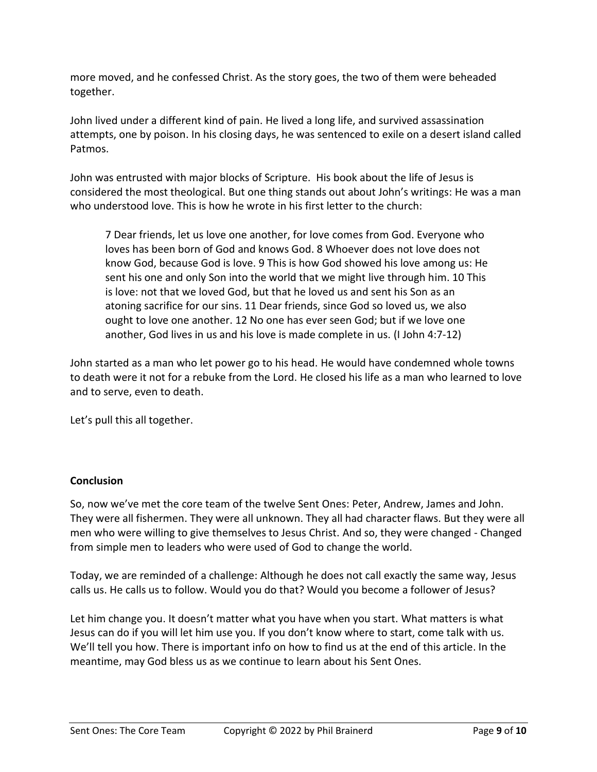more moved, and he confessed Christ. As the story goes, the two of them were beheaded together.

John lived under a different kind of pain. He lived a long life, and survived assassination attempts, one by poison. In his closing days, he was sentenced to exile on a desert island called Patmos.

John was entrusted with major blocks of Scripture. His book about the life of Jesus is considered the most theological. But one thing stands out about John's writings: He was a man who understood love. This is how he wrote in his first letter to the church:

7 Dear friends, let us love one another, for love comes from God. Everyone who loves has been born of God and knows God. 8 Whoever does not love does not know God, because God is love. 9 This is how God showed his love among us: He sent his one and only Son into the world that we might live through him. 10 This is love: not that we loved God, but that he loved us and sent his Son as an atoning sacrifice for our sins. 11 Dear friends, since God so loved us, we also ought to love one another. 12 No one has ever seen God; but if we love one another, God lives in us and his love is made complete in us. (I John 4:7-12)

John started as a man who let power go to his head. He would have condemned whole towns to death were it not for a rebuke from the Lord. He closed his life as a man who learned to love and to serve, even to death.

Let's pull this all together.

# **Conclusion**

So, now we've met the core team of the twelve Sent Ones: Peter, Andrew, James and John. They were all fishermen. They were all unknown. They all had character flaws. But they were all men who were willing to give themselves to Jesus Christ. And so, they were changed - Changed from simple men to leaders who were used of God to change the world.

Today, we are reminded of a challenge: Although he does not call exactly the same way, Jesus calls us. He calls us to follow. Would you do that? Would you become a follower of Jesus?

Let him change you. It doesn't matter what you have when you start. What matters is what Jesus can do if you will let him use you. If you don't know where to start, come talk with us. We'll tell you how. There is important info on how to find us at the end of this article. In the meantime, may God bless us as we continue to learn about his Sent Ones.